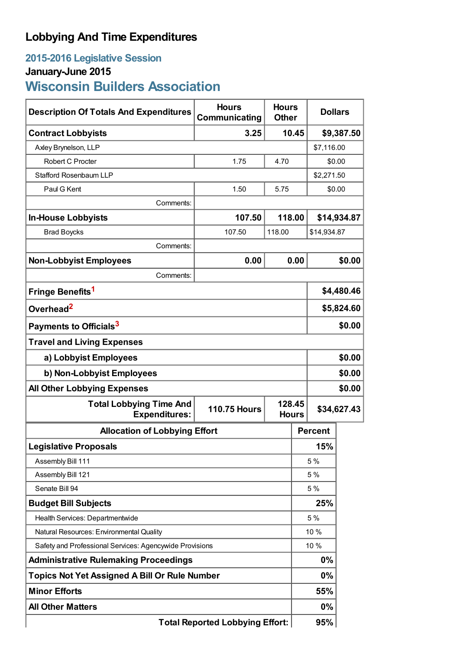## **Lobbying And Time Expenditures**

## **2015-2016 Legislative Session**

# **January-June 2015**

# **Wisconsin Builders Association**

| <b>Description Of Totals And Expenditures</b>           | <b>Hours</b><br>Communicating | <b>Hours</b><br><b>Other</b> | <b>Dollars</b> |             |  |
|---------------------------------------------------------|-------------------------------|------------------------------|----------------|-------------|--|
| <b>Contract Lobbyists</b>                               | 3.25                          | 10.45                        | \$9,387.50     |             |  |
| Axley Brynelson, LLP                                    |                               |                              | \$7,116.00     |             |  |
| Robert C Procter                                        | 1.75                          | 4.70                         | \$0.00         |             |  |
| <b>Stafford Rosenbaum LLP</b>                           |                               |                              | \$2,271.50     |             |  |
| Paul G Kent                                             | 1.50                          | 5.75                         | \$0.00         |             |  |
| Comments:                                               |                               |                              |                |             |  |
| <b>In-House Lobbyists</b>                               | 107.50                        | 118.00                       |                | \$14,934.87 |  |
| <b>Brad Boycks</b>                                      | 107.50                        | 118.00                       | \$14,934.87    |             |  |
| Comments:                                               |                               |                              |                |             |  |
| <b>Non-Lobbyist Employees</b>                           | 0.00                          | 0.00                         |                | \$0.00      |  |
| Comments:                                               |                               |                              |                |             |  |
| Fringe Benefits <sup>1</sup>                            |                               |                              | \$4,480.46     |             |  |
| Overhead <sup>2</sup>                                   |                               |                              | \$5,824.60     |             |  |
| Payments to Officials <sup>3</sup>                      |                               |                              |                | \$0.00      |  |
| <b>Travel and Living Expenses</b>                       |                               |                              |                |             |  |
| a) Lobbyist Employees                                   |                               |                              | \$0.00         |             |  |
| b) Non-Lobbyist Employees                               |                               |                              | \$0.00         |             |  |
| <b>All Other Lobbying Expenses</b>                      |                               |                              | \$0.00         |             |  |
| <b>Total Lobbying Time And</b><br><b>Expenditures:</b>  | <b>110.75 Hours</b>           | 128.45<br><b>Hours</b>       | \$34,627.43    |             |  |
| <b>Allocation of Lobbying Effort</b>                    |                               |                              | <b>Percent</b> |             |  |
| <b>Legislative Proposals</b>                            |                               |                              | 15%            |             |  |
| Assembly Bill 111                                       |                               |                              | 5 %            |             |  |
| Assembly Bill 121                                       |                               |                              | 5 %            |             |  |
| Senate Bill 94                                          |                               |                              | 5 %            |             |  |
| <b>Budget Bill Subjects</b>                             |                               |                              | 25%            |             |  |
| Health Services: Departmentwide                         |                               |                              | 5 %            |             |  |
| Natural Resources: Environmental Quality                |                               |                              | 10 %           |             |  |
| Safety and Professional Services: Agencywide Provisions |                               |                              | 10 %           |             |  |
| <b>Administrative Rulemaking Proceedings</b>            |                               |                              | 0%             |             |  |
| <b>Topics Not Yet Assigned A Bill Or Rule Number</b>    |                               |                              | $0\%$          |             |  |
| <b>Minor Efforts</b>                                    |                               |                              | 55%            |             |  |
| <b>All Other Matters</b>                                |                               |                              | 0%             |             |  |
| <b>Total Reported Lobbying Effort:</b>                  |                               |                              | 95%            |             |  |